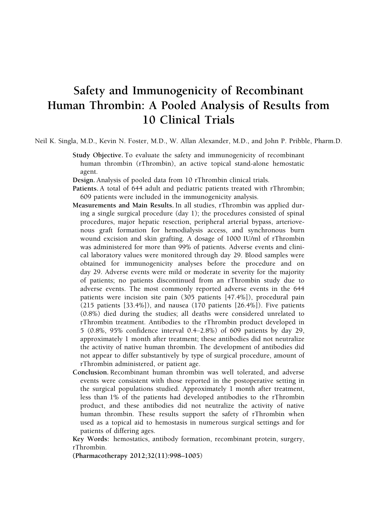# Safety and Immunogenicity of Recombinant Human Thrombin: A Pooled Analysis of Results from 10 Clinical Trials

Neil K. Singla, M.D., Kevin N. Foster, M.D., W. Allan Alexander, M.D., and John P. Pribble, Pharm.D.

Study Objective. To evaluate the safety and immunogenicity of recombinant human thrombin (rThrombin), an active topical stand-alone hemostatic agent.

Design. Analysis of pooled data from 10 rThrombin clinical trials.

- Patients. A total of 644 adult and pediatric patients treated with rThrombin; 609 patients were included in the immunogenicity analysis.
- Measurements and Main Results. In all studies, rThrombin was applied during a single surgical procedure (day 1); the procedures consisted of spinal procedures, major hepatic resection, peripheral arterial bypass, arteriovenous graft formation for hemodialysis access, and synchronous burn wound excision and skin grafting. A dosage of 1000 IU/ml of rThrombin was administered for more than 99% of patients. Adverse events and clinical laboratory values were monitored through day 29. Blood samples were obtained for immunogenicity analyses before the procedure and on day 29. Adverse events were mild or moderate in severity for the majority of patients; no patients discontinued from an rThrombin study due to adverse events. The most commonly reported adverse events in the 644 patients were incision site pain (305 patients [47.4%]), procedural pain (215 patients [33.4%]), and nausea (170 patients [26.4%]). Five patients (0.8%) died during the studies; all deaths were considered unrelated to rThrombin treatment. Antibodies to the rThrombin product developed in 5 (0.8%, 95% confidence interval 0.4–2.8%) of 609 patients by day 29, approximately 1 month after treatment; these antibodies did not neutralize the activity of native human thrombin. The development of antibodies did not appear to differ substantively by type of surgical procedure, amount of rThrombin administered, or patient age.
- Conclusion. Recombinant human thrombin was well tolerated, and adverse events were consistent with those reported in the postoperative setting in the surgical populations studied. Approximately 1 month after treatment, less than 1% of the patients had developed antibodies to the rThrombin product, and these antibodies did not neutralize the activity of native human thrombin. These results support the safety of rThrombin when used as a topical aid to hemostasis in numerous surgical settings and for patients of differing ages.

Key Words: hemostatics, antibody formation, recombinant protein, surgery, rThrombin.

(Pharmacotherapy 2012;32(11):998–1005)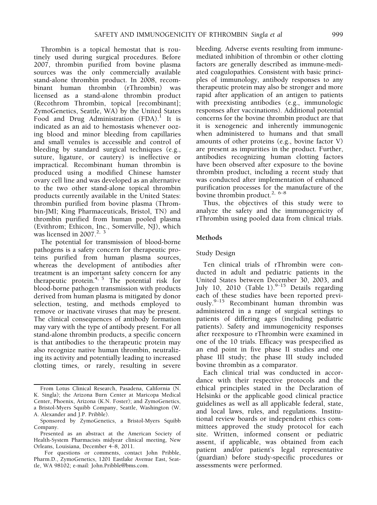Thrombin is a topical hemostat that is routinely used during surgical procedures. Before 2007, thrombin purified from bovine plasma sources was the only commercially available stand-alone thrombin product. In 2008, recombinant human thrombin (rThrombin) was licensed as a stand-alone thrombin product (Recothrom Thrombin, topical [recombinant]; ZymoGenetics, Seattle, WA) by the United States Food and Drug Administration  $(FDA)^{1}$  It is indicated as an aid to hemostasis whenever oozing blood and minor bleeding from capillaries and small venules is accessible and control of bleeding by standard surgical techniques (e.g., suture, ligature, or cautery) is ineffective or impractical. Recombinant human thrombin is produced using a modified Chinese hamster ovary cell line and was developed as an alternative to the two other stand-alone topical thrombin products currently available in the United States: thrombin purified from bovine plasma (Thrombin-JMI; King Pharmaceuticals, Bristol, TN) and thrombin purified from human pooled plasma (Evithrom; Ethicon, Inc., Somerville, NJ), which was licensed in 2007.<sup>2, 3</sup>

The potential for transmission of blood-borne pathogens is a safety concern for therapeutic proteins purified from human plasma sources, whereas the development of antibodies after treatment is an important safety concern for any therapeutic protein.<sup>4, 5</sup> The potential risk for blood-borne pathogen transmission with products derived from human plasma is mitigated by donor selection, testing, and methods employed to remove or inactivate viruses that may be present. The clinical consequences of antibody formation may vary with the type of antibody present. For all stand-alone thrombin products, a specific concern is that antibodies to the therapeutic protein may also recognize native human thrombin, neutralizing its activity and potentially leading to increased clotting times, or rarely, resulting in severe

bleeding. Adverse events resulting from immunemediated inhibition of thrombin or other clotting factors are generally described as immune-mediated coagulopathies. Consistent with basic principles of immunology, antibody responses to any therapeutic protein may also be stronger and more rapid after application of an antigen to patients with preexisting antibodies (e.g., immunologic responses after vaccinations). Additional potential concerns for the bovine thrombin product are that it is xenogeneic and inherently immunogenic when administered to humans and that small amounts of other proteins (e.g., bovine factor V) are present as impurities in the product. Further, antibodies recognizing human clotting factors have been observed after exposure to the bovine thrombin product, including a recent study that was conducted after implementation of enhanced purification processes for the manufacture of the bovine thrombin product.<sup>2, 6–8</sup>

Thus, the objectives of this study were to analyze the safety and the immunogenicity of rThrombin using pooled data from clinical trials.

## Methods

## Study Design

Ten clinical trials of rThrombin were conducted in adult and pediatric patients in the United States between December 30, 2003, and July 10, 2010 (Table 1).<sup>9-15</sup> Details regarding each of these studies have been reported previously.9–<sup>15</sup> Recombinant human thrombin was administered in a range of surgical settings to patients of differing ages (including pediatric patients). Safety and immunogenicity responses after reexposure to rThrombin were examined in one of the 10 trials. Efficacy was prespecified as an end point in five phase II studies and one phase III study; the phase III study included bovine thrombin as a comparator.

Each clinical trial was conducted in accordance with their respective protocols and the ethical principles stated in the Declaration of Helsinki or the applicable good clinical practice guidelines as well as all applicable federal, state, and local laws, rules, and regulations. Institutional review boards or independent ethics committees approved the study protocol for each site. Written, informed consent or pediatric assent, if applicable, was obtained from each patient and/or patient's legal representative (guardian) before study-specific procedures or assessments were performed.

From Lotus Clinical Research, Pasadena, California (N. K. Singla); the Arizona Burn Center at Maricopa Medical Center, Phoenix, Arizona (K.N. Foster); and ZymoGenetics, a Bristol-Myers Squibb Company, Seattle, Washington (W. A. Alexander and J.P. Pribble).

Sponsored by ZymoGenetics, a Bristol-Myers Squibb Company.

Presented as an abstract at the American Society of Health-System Pharmacists midyear clinical meeting, New Orleans, Louisiana, December 4–8, 2011.

For questions or comments, contact John Pribble, Pharm.D., ZymoGenetics, 1201 Eastlake Avenue East, Seattle, WA 98102; e-mail: John.Pribble@bms.com.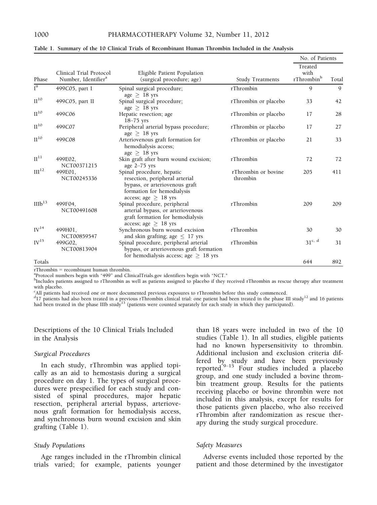|                    |                                                            |                                                                                                                                                          |                                 | No. of Patients                           |       |  |
|--------------------|------------------------------------------------------------|----------------------------------------------------------------------------------------------------------------------------------------------------------|---------------------------------|-------------------------------------------|-------|--|
| Phase              | Clinical Trial Protocol<br>Number, Identifier <sup>a</sup> | Eligible Patient Population<br>(surgical procedure; age)                                                                                                 | <b>Study Treatments</b>         | Treated<br>with<br>rThrombin <sup>b</sup> | Total |  |
| $\overline{I^9}$   | 499C05, part I                                             | Spinal surgical procedure;<br>age $\geq$ 18 yrs                                                                                                          | rThrombin                       | 9                                         | 9     |  |
| $\mathrm{II}^{10}$ | 499C05, part II                                            | Spinal surgical procedure;<br>age $\geq$ 18 yrs                                                                                                          | rThrombin or placebo            | 33                                        | 42    |  |
| $II^{10}$          | 499C06                                                     | Hepatic resection; age<br>$18-75$ yrs                                                                                                                    | rThrombin or placebo            | 17                                        | 28    |  |
| $II^{10}$          | 499C07                                                     | Peripheral arterial bypass procedure;<br>age $\geq$ 18 yrs                                                                                               | rThrombin or placebo            | 17                                        | 27    |  |
| $II^{10}$          | 499C08                                                     | Arteriovenous graft formation for<br>hemodialysis access;<br>$age > 18$ yrs                                                                              | rThrombin or placebo            | 21                                        | 33    |  |
| $\mathrm{II}^{11}$ | 499E02.<br>NCT00371215                                     | Skin graft after burn wound excision;<br>age $2-75$ yrs                                                                                                  | rThrombin                       | 72                                        | 72    |  |
| III <sup>12</sup>  | 499E01,<br>NCT00245336                                     | Spinal procedure, hepatic<br>resection, peripheral arterial<br>bypass, or arteriovenous graft<br>formation for hemodialysis<br>access; age $\geq 18$ yrs | rThrombin or bovine<br>thrombin | 205                                       | 411   |  |
| IIIb <sup>13</sup> | 499F04.<br>NCT00491608                                     | Spinal procedure, peripheral<br>arterial bypass, or arteriovenous<br>graft formation for hemodialysis<br>access; age $\geq 18$ yrs                       | rThrombin                       | 209                                       | 209   |  |
| $IV^{14}$          | 499H01,<br>NCT00859547                                     | Synchronous burn wound excision<br>and skin grafting; age $\leq 17$ yrs                                                                                  | rThrombin                       | 30                                        | 30    |  |
| IV <sup>15</sup>   | 499G02.<br>NCT00813904                                     | Spinal procedure, peripheral arterial<br>bypass, or arteriovenous graft formation<br>for hemodialysis access; age $\geq$ 18 yrs                          | rThrombin                       | $31^{c, d}$                               | 31    |  |
| Totals             |                                                            |                                                                                                                                                          |                                 | 644                                       | 892   |  |

Table 1. Summary of the 10 Clinical Trials of Recombinant Human Thrombin Included in the Analysis

 $rThrombin = recombinant human through.$ 

<sup>a</sup>Protocol numbers begin with "499" and ClinicalTrials.gov identifiers begin with "NCT."

<sup>b</sup>Includes patients assigned to rThrombin as well as patients assigned to placebo if they received rThrombin as rescue therapy after treatment with placebo.

c All patients had received one or more documented previous exposures to rThrombin before this study commenced.

 $^{d}$ 17 patients had also been treated in a previous rThrombin clinical trial: one patient had been treated in the phase III study<sup>12</sup> and 16 patients had been treated in the phase IIIb study<sup>13</sup> (patients were counted separately for each study in which they participated).

Descriptions of the 10 Clinical Trials Included in the Analysis

## Surgical Procedures

In each study, rThrombin was applied topically as an aid to hemostasis during a surgical procedure on day 1. The types of surgical procedures were prespecified for each study and consisted of spinal procedures, major hepatic resection, peripheral arterial bypass, arteriovenous graft formation for hemodialysis access, and synchronous burn wound excision and skin grafting (Table 1).

## Study Populations

Age ranges included in the rThrombin clinical trials varied; for example, patients younger than 18 years were included in two of the 10 studies (Table 1). In all studies, eligible patients had no known hypersensitivity to thrombin. Additional inclusion and exclusion criteria differed by study and have been previously reported. $9-15$  Four studies included a placebo group, and one study included a bovine thrombin treatment group. Results for the patients receiving placebo or bovine thrombin were not included in this analysis, except for results for those patients given placebo, who also received rThrombin after randomization as rescue therapy during the study surgical procedure.

## Safety Measures

Adverse events included those reported by the patient and those determined by the investigator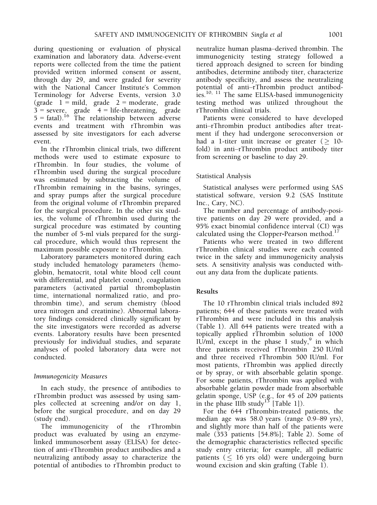during questioning or evaluation of physical examination and laboratory data. Adverse-event reports were collected from the time the patient provided written informed consent or assent, through day 29, and were graded for severity with the National Cancer Institute's Common Terminology for Adverse Events, version 3.0 (grade  $1 = \text{mild}$ , grade  $2 = \text{moderate}$ , grade  $3 =$  severe, grade  $4 =$  life-threatening, grade  $5 = \text{fatal}.$ <sup>16</sup> The relationship between adverse events and treatment with rThrombin was assessed by site investigators for each adverse event.

In the rThrombin clinical trials, two different methods were used to estimate exposure to rThrombin. In four studies, the volume of rThrombin used during the surgical procedure was estimated by subtracting the volume of rThrombin remaining in the basins, syringes, and spray pumps after the surgical procedure from the original volume of rThrombin prepared for the surgical procedure. In the other six studies, the volume of rThrombin used during the surgical procedure was estimated by counting the number of 5-ml vials prepared for the surgical procedure, which would thus represent the maximum possible exposure to rThrombin.

Laboratory parameters monitored during each study included hematology parameters (hemoglobin, hematocrit, total white blood cell count with differential, and platelet count), coagulation parameters (activated partial thromboplastin time, international normalized ratio, and prothrombin time), and serum chemistry (blood urea nitrogen and creatinine). Abnormal laboratory findings considered clinically significant by the site investigators were recorded as adverse events. Laboratory results have been presented previously for individual studies, and separate analyses of pooled laboratory data were not conducted.

## Immunogenicity Measures

In each study, the presence of antibodies to rThrombin product was assessed by using samples collected at screening and/or on day 1, before the surgical procedure, and on day 29 (study end).

The immunogenicity of the rThrombin product was evaluated by using an enzymelinked immunosorbent assay (ELISA) for detection of anti–rThrombin product antibodies and a neutralizing antibody assay to characterize the potential of antibodies to rThrombin product to neutralize human plasma–derived thrombin. The immunogenicity testing strategy followed a tiered approach designed to screen for binding antibodies, determine antibody titer, characterize antibody specificity, and assess the neutralizing potential of anti–rThrombin product antibodies.<sup>10, 11</sup> The same ELISA-based immunogenicity testing method was utilized throughout the rThrombin clinical trials.

Patients were considered to have developed anti–rThrombin product antibodies after treatment if they had undergone seroconversion or had a 1-titer unit increase or greater ( $\geq 10$ fold) in anti–rThrombin product antibody titer from screening or baseline to day 29.

# Statistical Analysis

Statistical analyses were performed using SAS statistical software, version 9.2 (SAS Institute Inc., Cary, NC).

The number and percentage of antibody-positive patients on day 29 were provided, and a 95% exact binomial confidence interval (CI) was calculated using the Clopper-Pearson method. $17$ 

Patients who were treated in two different rThrombin clinical studies were each counted twice in the safety and immunogenicity analysis sets. A sensitivity analysis was conducted without any data from the duplicate patients.

# Results

The 10 rThrombin clinical trials included 892 patients; 644 of these patients were treated with rThrombin and were included in this analysis (Table 1). All 644 patients were treated with a topically applied rThrombin solution of 1000 IU/ml, except in the phase I study, $9$  in which three patients received rThrombin 250 IU/ml and three received rThrombin 500 IU/ml. For most patients, rThrombin was applied directly or by spray, or with absorbable gelatin sponge. For some patients, rThrombin was applied with absorbable gelatin powder made from absorbable gelatin sponge, USP (e.g., for 45 of 209 patients in the phase IIIb study<sup>13</sup> [Table 1]).

For the 644 rThrombin-treated patients, the median age was 58.0 years (range 0.9–89 yrs), and slightly more than half of the patients were male (353 patients [54.8%]; Table 2). Some of the demographic characteristics reflected specific study entry criteria; for example, all pediatric patients  $($   $\leq$  16 yrs old) were undergoing burn wound excision and skin grafting (Table 1).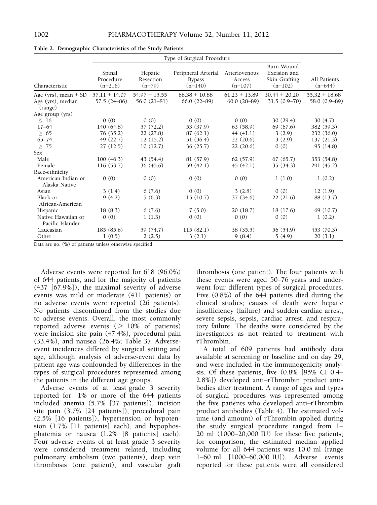|                                        | Type of Surgical Procedure       |                                  |                                                   |                                      |                                                          |                           |  |
|----------------------------------------|----------------------------------|----------------------------------|---------------------------------------------------|--------------------------------------|----------------------------------------------------------|---------------------------|--|
| Characteristic                         | Spinal<br>Procedure<br>$(n=216)$ | Hepatic<br>Resection<br>$(n=79)$ | Peripheral Arterial<br><b>Bypass</b><br>$(n=140)$ | Arteriovenous<br>Access<br>$(n=107)$ | Burn Wound<br>Excision and<br>Skin Grafting<br>$(n=102)$ | All Patients<br>$(n=644)$ |  |
| Age (yrs), mean $\pm$ SD               | $57.11 \pm 14.07$                | $54.97 \pm 15.55$                | $66.38 \pm 10.88$                                 | $61.23 \pm 13.89$                    | $30.44 \pm 20.20$                                        | $55.32 \pm 18.68$         |  |
| Age (yrs), median<br>(range)           | $57.5(24-86)$                    | $56.0(21-81)$                    | $66.0(22-89)$                                     | $60.0(28-89)$                        | $31.5(0.9-70)$                                           | 58.0 (0.9-89)             |  |
| Age group (yrs)                        |                                  |                                  |                                                   |                                      |                                                          |                           |  |
| $\leq~16$                              | 0(0)                             | 0(0)                             | 0(0)                                              | 0(0)                                 | 30(29.4)                                                 | 30(4.7)                   |  |
| $17 - 64$                              | 140 (64.8)                       | 57 (72.2)                        | 53 (37.9)                                         | 63(58.9)                             | 69 (67.6)                                                | 382 (59.3)                |  |
| $\geq 65$                              | 76(35.2)                         | 22(27.8)                         | 87(62.1)                                          | 44(41.1)                             | 3(2.9)                                                   | 232(36.0)                 |  |
| $65 - 74$                              | 49 (22.7)                        | 12(15.2)                         | 51 (36.4)                                         | 22(20.6)                             | 3(2.9)                                                   | 137(21.3)                 |  |
| $\geq 75$                              | 27(12.5)                         | 10(12.7)                         | 36(25.7)                                          | 22(20.6)                             | 0(0)                                                     | 95(14.8)                  |  |
| <b>Sex</b>                             |                                  |                                  |                                                   |                                      |                                                          |                           |  |
| Male                                   | 100(46.3)                        | 43(54.4)                         | 81 (57.9)                                         | 62 (57.9)                            | 67(65.7)                                                 | 353 (54.8)                |  |
| Female                                 | 116(53.7)                        | 36(45.6)                         | 59(42.1)                                          | 45(42.1)                             | 35(34.3)                                                 | 291 (45.2)                |  |
| Race-ethnicity                         |                                  |                                  |                                                   |                                      |                                                          |                           |  |
| American Indian or<br>Alaska Native    | 0(0)                             | 0(0)                             | 0(0)                                              | 0(0)                                 | 1(1.0)                                                   | 1(0.2)                    |  |
| Asian                                  | 3(1.4)                           | 6(7.6)                           | 0(0)                                              | 3(2.8)                               | 0(0)                                                     | 12(1.9)                   |  |
| Black or<br>African-American           | 9(4.2)                           | 5(6.3)                           | 15(10.7)                                          | 37(34.6)                             | 22(21.6)                                                 | 88 (13.7)                 |  |
| Hispanic                               | 18(8.3)                          | 6(7.6)                           | 7(5.0)                                            | 20(18.7)                             | 18(17.6)                                                 | 69 (10.7)                 |  |
| Native Hawaiian or<br>Pacific Islander | 0(0)                             | 1(1.3)                           | 0(0)                                              | 0(0)                                 | 0(0)                                                     | 1(0.2)                    |  |
| Caucasian                              | 185(85.6)                        | 59 (74.7)                        | 115(82.1)                                         | 38(35.5)                             | 56 (54.9)                                                | 453 (70.3)                |  |
| Other                                  | 1(0.5)                           | 2(2.5)                           | 3(2.1)                                            | 9(8.4)                               | 5(4.9)                                                   | 20(3.1)                   |  |

Table 2. Demographic Characteristics of the Study Patients

Data are no. (%) of patients unless otherwise specified.

Adverse events were reported for 618 (96.0%) of 644 patients, and for the majority of patients (437 [67.9%]), the maximal severity of adverse events was mild or moderate (411 patients) or no adverse events were reported (26 patients). No patients discontinued from the studies due to adverse events. Overall, the most commonly reported adverse events ( $\geq 10\%$  of patients) were incision site pain (47.4%), procedural pain (33.4%), and nausea (26.4%; Table 3). Adverseevent incidences differed by surgical setting and age, although analysis of adverse-event data by patient age was confounded by differences in the types of surgical procedures represented among the patients in the different age groups.

Adverse events of at least grade 3 severity reported for 1% or more of the 644 patients included anemia (5.7% [37 patients]), incision site pain (3.7% [24 patients]), procedural pain (2.5% [16 patients]), hypertension or hypotension (1.7% [11 patients] each), and hypophosphatemia or nausea (1.2% [8 patients] each). Four adverse events of at least grade 3 severity were considered treatment related, including pulmonary embolism (two patients), deep vein thrombosis (one patient), and vascular graft thrombosis (one patient). The four patients with these events were aged 50–76 years and underwent four different types of surgical procedures. Five (0.8%) of the 644 patients died during the clinical studies; causes of death were hepatic insufficiency (failure) and sudden cardiac arrest, severe sepsis, sepsis, cardiac arrest, and respiratory failure. The deaths were considered by the investigators as not related to treatment with rThrombin.

A total of 609 patients had antibody data available at screening or baseline and on day 29, and were included in the immunogenicity analysis. Of these patients, five (0.8% [95% CI 0.4– 2.8%]) developed anti–rThrombin product antibodies after treatment. A range of ages and types of surgical procedures was represented among the five patients who developed anti–rThrombin product antibodies (Table 4). The estimated volume (and amount) of rThrombin applied during the study surgical procedure ranged from 1– 20 ml (1000–20,000 IU) for these five patients; for comparison, the estimated median applied volume for all 644 patients was 10.0 ml (range 1–60 ml [1000–60,000 IU]). Adverse events reported for these patients were all considered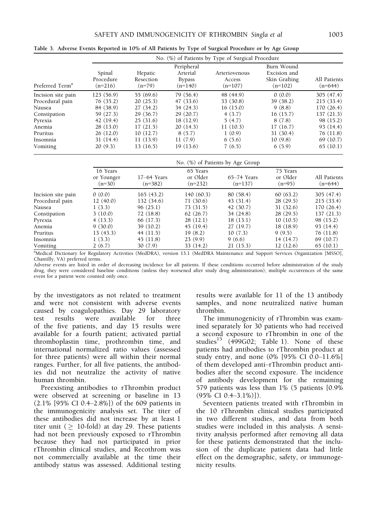|                             |                                  | No. (%) of Patients by Type of Surgical Procedure |                                                      |                                      |                                                          |                           |  |
|-----------------------------|----------------------------------|---------------------------------------------------|------------------------------------------------------|--------------------------------------|----------------------------------------------------------|---------------------------|--|
| Preferred Term <sup>a</sup> | Spinal<br>Procedure<br>$(n=216)$ | Hepatic<br>Resection<br>$(n=79)$                  | Peripheral<br>Arterial<br><b>Bypass</b><br>$(n=140)$ | Arteriovenous<br>Access<br>$(n=107)$ | Burn Wound<br>Excision and<br>Skin Grafting<br>$(n=102)$ | All Patients<br>$(n=644)$ |  |
| Incision site pain          | 123 (56.9)                       | 55(69.6)                                          | 79 (56.4)                                            | 48 (44.9)                            | 0(0.0)                                                   | 305(47.4)                 |  |
| Procedural pain             | 76(35.2)                         | 20(25.3)                                          | 47(33.6)                                             | 33 (30.8)                            | 39 (38.2)                                                | 215(33.4)                 |  |
| Nausea                      | 84 (38.9)                        | 27(34.2)                                          | 34(24.3)                                             | 16(15.0)                             | 9(8.8)                                                   | 170 (26.4)                |  |
| Constipation                | 59 (27.3)                        | 29(36.7)                                          | 29(20.7)                                             | 4(3.7)                               | 16(15.7)                                                 | 137(21.3)                 |  |
| Pyrexia                     | 42(19.4)                         | 25(31.6)                                          | 18(12.9)                                             | 5(4.7)                               | 8 (7.8)                                                  | 98 (15.2)                 |  |
| Anemia                      | 28(13.0)                         | 17(21.5)                                          | 20(14.3)                                             | 11(10.3)                             | 17(16.7)                                                 | 93(14.4)                  |  |
| Pruritus                    | 26(12.0)                         | 10(12.7)                                          | 8(5.7)                                               | 1(0.9)                               | 31(30.4)                                                 | 76(11.8)                  |  |
| Insomnia                    | 31(14.4)                         | 11(13.9)                                          | 11(7.9)                                              | 6(5.6)                               | 10(9.8)                                                  | 69 (10.7)                 |  |
| Vomiting                    | 20(9.3)                          | 13 (16.5)                                         | 19 (13.6)                                            | 7(6.5)                               | 6(5.9)                                                   | 65(10.1)                  |  |

Table 3. Adverse Events Reported in 10% of All Patients by Type of Surgical Procedure or by Age Group

|                    | No. (%) of Patients by Age Group   |                            |                                   |                            |                                  |                           |
|--------------------|------------------------------------|----------------------------|-----------------------------------|----------------------------|----------------------------------|---------------------------|
|                    | 16 Years<br>or Younger<br>$(n=30)$ | $17-64$ Years<br>$(n=382)$ | 65 Years<br>or Older<br>$(n=232)$ | $65-74$ Years<br>$(n=137)$ | 75 Years<br>or Older<br>$(n=95)$ | All Patients<br>$(n=644)$ |
| Incision site pain | 0(0.0)                             | 165(43.2)                  | 140(60.3)                         | 80 (58.4)                  | 60(63.2)                         | 305 (47.4)                |
| Procedural pain    | 12(40.0)                           | 132 (34.6)                 | 71(30.6)                          | 43(31.4)                   | 28(29.5)                         | 215(33.4)                 |
| Nausea             | 1(3.3)                             | 96(25.1)                   | 73(31.5)                          | 42(30.7)                   | 31(32.6)                         | 170 (26.4)                |
| Constipation       | 3(10.0)                            | 72(18.8)                   | 62(26.7)                          | 34 (24.8)                  | 28(29.5)                         | 137(21.3)                 |
| Pyrexia            | 4(13.3)                            | 66 (17.3)                  | 28(12.1)                          | 18(13.1)                   | 10(10.5)                         | 98 (15.2)                 |
| Anemia             | 9(30.0)                            | 39(10.2)                   | 45(19.4)                          | 27(19.7)                   | 18(18.9)                         | 93(14.4)                  |
| Pruritus           | 13(43.3)                           | 44(11.5)                   | 19(8.2)                           | 10(7.3)                    | 9(9.5)                           | 76 (11.8)                 |
| Insomnia           | 1(3.3)                             | 45(11.8)                   | 23(9.9)                           | 9(6.6)                     | 14(14.7)                         | 69 (10.7)                 |
| Vomiting           | 2(6.7)                             | 30(7.9)                    | 33(14.2)                          | 21(15.3)                   | 12(12.6)                         | 65(10.1)                  |

<sup>a</sup>Medical Dictionary for Regulatory Activities (MedDRA), version 13.1 (MedDRA Maintenance and Support Services Organization [MSSO], Chantilly, VA) preferred terms.

Adverse events are listed in order of decreasing incidence for all patients. If these conditions occurred before administration of the study drug, they were considered baseline conditions (unless they worsened after study drug administration); multiple occurrences of the same event for a patient were counted only once.

by the investigators as not related to treatment and were not consistent with adverse events caused by coagulopathies. Day 29 laboratory test results were available for three of the five patients, and day 15 results were available for a fourth patient; activated partial thromboplastin time, prothrombin time, and international normalized ratio values (assessed for three patients) were all within their normal ranges. Further, for all five patients, the antibodies did not neutralize the activity of native human thrombin.

Preexisting antibodies to rThrombin product were observed at screening or baseline in 13 (2.1% [95% CI 0.4–2.8%]) of the 609 patients in the immunogenicity analysis set. The titer of these antibodies did not increase by at least 1 titer unit ( $\geq 10$ -fold) at day 29. These patients had not been previously exposed to rThrombin because they had not participated in prior rThrombin clinical studies, and Recothrom was not commercially available at the time their antibody status was assessed. Additional testing results were available for 11 of the 13 antibody samples, and none neutralized native human thrombin.

The immunogenicity of rThrombin was examined separately for 30 patients who had received a second exposure to rThrombin in one of the studies<sup>15</sup> (499G02; Table 1). None of these patients had antibodies to rThrombin product at study entry, and none (0% [95% CI 0.0–11.6%] of them developed anti–rThrombin product antibodies after the second exposure. The incidence of antibody development for the remaining 579 patients was less than 1% (5 patients [0.9%  $(95\% \text{ CI } 0.4 - 3.1\%)$ ]).

Seventeen patients treated with rThrombin in the 10 rThrombin clinical studies participated in two different studies, and data from both studies were included in this analysis. A sensitivity analysis performed after removing all data for these patients demonstrated that the inclusion of the duplicate patient data had little effect on the demographic, safety, or immunogenicity results.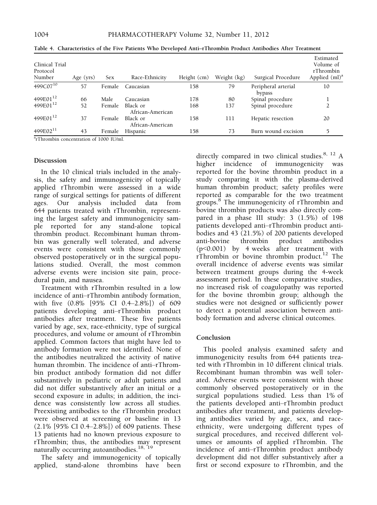| Clinical Trial<br>Protocol<br>Number | Age (yrs) | Sex           | Race-Ethnicity               | Height (cm) | Weight (kg) | Surgical Procedure            | Estimated<br>Volume of<br>rThrombin<br>Applied $(ml)^a$ |
|--------------------------------------|-----------|---------------|------------------------------|-------------|-------------|-------------------------------|---------------------------------------------------------|
| 499C07 <sup>10</sup>                 | 57        | Female        | Caucasian                    | 158         | 79          | Peripheral arterial<br>bypass | 10                                                      |
| 499E01 <sup>12</sup>                 | 66        | <b>Male</b>   | Caucasian                    | 178         | 80          | Spinal procedure              |                                                         |
| 499E01 <sup>12</sup>                 | 52        | <b>Female</b> | Black or<br>African-American | 168         | 137         | Spinal procedure              |                                                         |
| 499E01 <sup>12</sup>                 | 37        | Female        | Black or<br>African-American | 158         | 111         | Hepatic resection             | 20                                                      |
| 499E02 <sup>11</sup>                 | 43        | Female        | Hispanic                     | 158         | 73          | Burn wound excision           | 5                                                       |

Table 4. Characteristics of the Five Patients Who Developed Anti–rThrombin Product Antibodies After Treatment

a rThrombin concentration of 1000 IU/ml.

#### Discussion

In the 10 clinical trials included in the analysis, the safety and immunogenicity of topically applied rThrombin were assessed in a wide range of surgical settings for patients of different<br>ages. Our analysis included data from ages. Our analysis included data from 644 patients treated with rThrombin, representing the largest safety and immunogenicity sample reported for any stand-alone topical thrombin product. Recombinant human thrombin was generally well tolerated, and adverse events were consistent with those commonly observed postoperatively or in the surgical populations studied. Overall, the most common adverse events were incision site pain, procedural pain, and nausea.

Treatment with rThrombin resulted in a low incidence of anti–rThrombin antibody formation, with five (0.8% [95% CI 0.4–2.8%]) of 609 patients developing anti–rThrombin product antibodies after treatment. These five patients varied by age, sex, race-ethnicity, type of surgical procedures, and volume or amount of rThrombin applied. Common factors that might have led to antibody formation were not identified. None of the antibodies neutralized the activity of native human thrombin. The incidence of anti–rThrombin product antibody formation did not differ substantively in pediatric or adult patients and did not differ substantively after an initial or a second exposure in adults; in addition, the incidence was consistently low across all studies. Preexisting antibodies to the rThrombin product were observed at screening or baseline in 13 (2.1% [95% CI 0.4–2.8%]) of 609 patients. These 13 patients had no known previous exposure to rThrombin; thus, the antibodies may represent naturally occurring autoantibodies.<sup>18, 19</sup>

The safety and immunogenicity of topically applied, stand-alone thrombins have been directly compared in two clinical studies.<sup>8, 12</sup> A higher incidence of immunogenicity was reported for the bovine thrombin product in a study comparing it with the plasma-derived human thrombin product; safety profiles were reported as comparable for the two treatment groups.8 The immunogenicity of rThrombin and bovine thrombin products was also directly compared in a phase III study: 3 (1.5%) of 198 patients developed anti–rThrombin product antibodies and 43 (21.5%) of 200 patients developed anti-bovine thrombin product antibodies (p<0.001) by 4 weeks after treatment with rThrombin or bovine thrombin product.12 The overall incidence of adverse events was similar between treatment groups during the 4-week assessment period. In these comparative studies, no increased risk of coagulopathy was reported for the bovine thrombin group; although the studies were not designed or sufficiently power to detect a potential association between antibody formation and adverse clinical outcomes.

## Conclusion

This pooled analysis examined safety and immunogenicity results from 644 patients treated with rThrombin in 10 different clinical trials. Recombinant human thrombin was well tolerated. Adverse events were consistent with those commonly observed postoperatively or in the surgical populations studied. Less than 1% of the patients developed anti–rThrombin product antibodies after treatment, and patients developing antibodies varied by age, sex, and raceethnicity, were undergoing different types of surgical procedures, and received different volumes or amounts of applied rThrombin. The incidence of anti–rThrombin product antibody development did not differ substantively after a first or second exposure to rThrombin, and the